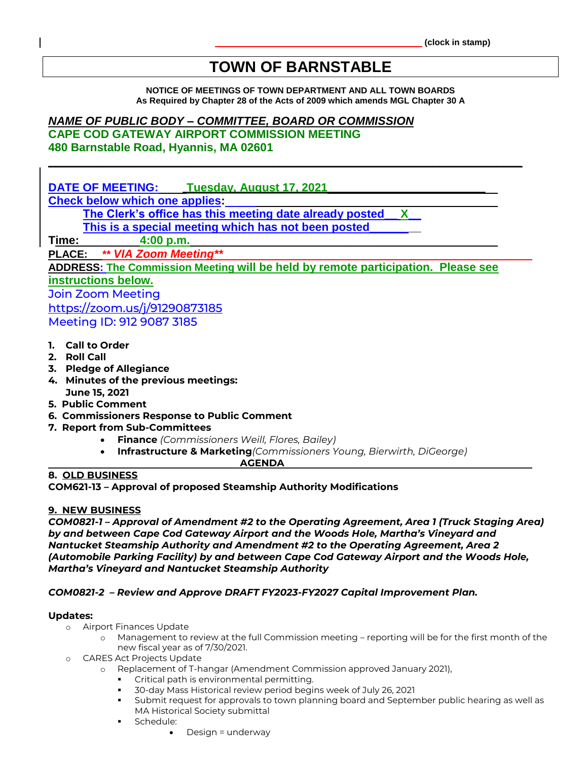# **TOWN OF BARNSTABLE**

**NOTICE OF MEETINGS OF TOWN DEPARTMENT AND ALL TOWN BOARDS As Required by Chapter 28 of the Acts of 2009 which amends MGL Chapter 30 A**

## *NAME OF PUBLIC BODY – COMMITTEE, BOARD OR COMMISSION*

**CAPE COD GATEWAY AIRPORT COMMISSION MEETING 480 Barnstable Road, Hyannis, MA 02601**

**DATE OF MEETING: Tuesday, August 17, 2021 Check below which one applies: The Clerk's office has this meeting date already posted\_\_ X\_\_ This is a special meeting which has not been posted\_\_\_\_\_\_\_\_ Time: 4:00 p.m. PLACE: \*\*** *VIA Zoom Meeting\*\**

**\_\_\_\_\_\_\_\_\_\_\_\_\_\_\_\_\_\_\_\_\_\_\_\_\_\_\_\_\_\_\_\_\_\_\_\_\_\_\_\_\_\_\_\_\_\_\_\_\_\_\_\_\_\_\_\_\_\_\_\_\_\_\_\_\_\_\_\_\_\_\_\_\_\_**

**ADDRESS: The Commission Meeting will be held by remote participation. Please see** 

## **instructions below.**

Join Zoom Meeting <https://zoom.us/j/91290873185> Meeting ID: 912 9087 3185

- **1. Call to Order**
- **2. Roll Call**
- **3. Pledge of Allegiance**
- **4. Minutes of the previous meetings: June 15, 2021**
- **5. Public Comment**
- **6. Commissioners Response to Public Comment**
- **7. Report from Sub-Committees**
	- **Finance** *(Commissioners Weill, Flores, Bailey)*
	- **Infrastructure & Marketing***(Commissioners Young, Bierwirth, DiGeorge)*

 **AGENDA**

### **8. OLD BUSINESS**

**COM621-13 – Approval of proposed Steamship Authority Modifications**

#### **9. NEW BUSINESS**

*COM0821-1 – Approval of Amendment #2 to the Operating Agreement, Area 1 (Truck Staging Area) by and between Cape Cod Gateway Airport and the Woods Hole, Martha's Vineyard and Nantucket Steamship Authority and Amendment #2 to the Operating Agreement, Area 2 (Automobile Parking Facility) by and between Cape Cod Gateway Airport and the Woods Hole, Martha's Vineyard and Nantucket Steamship Authority*

#### *COM0821-2 – Review and Approve DRAFT FY2023-FY2027 Capital Improvement Plan.*

#### **Updates:**

- o Airport Finances Update
	- o Management to review at the full Commission meeting reporting will be for the first month of the new fiscal year as of 7/30/2021.
- **CARES Act Projects Update** 
	- o Replacement of T-hangar (Amendment Commission approved January 2021),
		- Critical path is environmental permitting.
		- 30-day Mass Historical review period begins week of July 26, 2021
		- Submit request for approvals to town planning board and September public hearing as well as MA Historical Society submittal
		- Schedule:
			- Design = underway